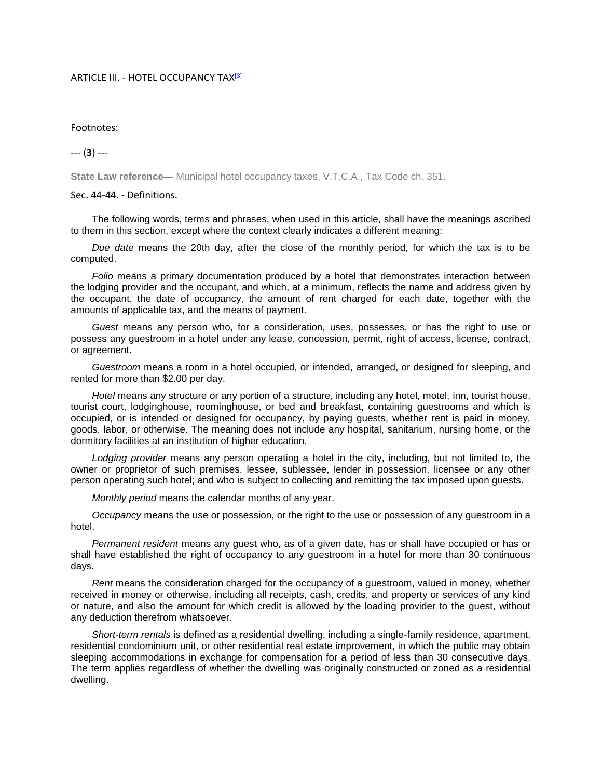## ARTICLE III. - HOTEL OCCUPANCY TAX<mark>I3</mark>

## Footnotes:

--- (**3**) ---

**State Law reference—** Municipal hotel occupancy taxes, V.T.C.A., Tax Code ch. 351.

Sec. 44-44. - Definitions.

The following words, terms and phrases, when used in this article, shall have the meanings ascribed to them in this section, except where the context clearly indicates a different meaning:

*Due date* means the 20th day, after the close of the monthly period, for which the tax is to be computed.

*Folio* means a primary documentation produced by a hotel that demonstrates interaction between the lodging provider and the occupant, and which, at a minimum, reflects the name and address given by the occupant, the date of occupancy, the amount of rent charged for each date, together with the amounts of applicable tax, and the means of payment.

*Guest* means any person who, for a consideration, uses, possesses, or has the right to use or possess any guestroom in a hotel under any lease, concession, permit, right of access, license, contract, or agreement.

*Guestroom* means a room in a hotel occupied, or intended, arranged, or designed for sleeping, and rented for more than \$2.00 per day.

*Hotel* means any structure or any portion of a structure, including any hotel, motel, inn, tourist house, tourist court, lodginghouse, roominghouse, or bed and breakfast, containing guestrooms and which is occupied, or is intended or designed for occupancy, by paying guests, whether rent is paid in money, goods, labor, or otherwise. The meaning does not include any hospital, sanitarium, nursing home, or the dormitory facilities at an institution of higher education.

*Lodging provider* means any person operating a hotel in the city, including, but not limited to, the owner or proprietor of such premises, lessee, sublessee, lender in possession, licensee or any other person operating such hotel; and who is subject to collecting and remitting the tax imposed upon guests.

*Monthly period* means the calendar months of any year.

*Occupancy* means the use or possession, or the right to the use or possession of any guestroom in a hotel.

*Permanent resident* means any guest who, as of a given date, has or shall have occupied or has or shall have established the right of occupancy to any guestroom in a hotel for more than 30 continuous days.

*Rent* means the consideration charged for the occupancy of a guestroom, valued in money, whether received in money or otherwise, including all receipts, cash, credits, and property or services of any kind or nature, and also the amount for which credit is allowed by the loading provider to the guest, without any deduction therefrom whatsoever.

*Short-term rentals* is defined as a residential dwelling, including a single-family residence, apartment, residential condominium unit, or other residential real estate improvement, in which the public may obtain sleeping accommodations in exchange for compensation for a period of less than 30 consecutive days. The term applies regardless of whether the dwelling was originally constructed or zoned as a residential dwelling.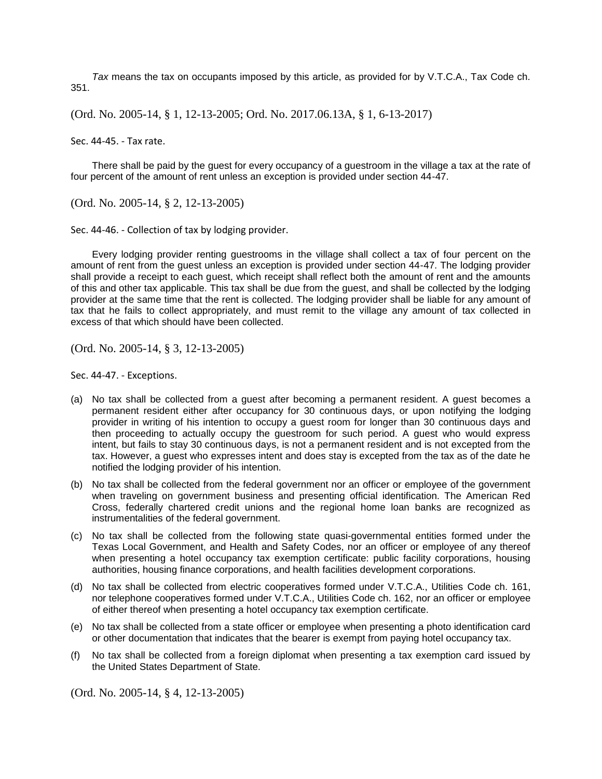*Tax* means the tax on occupants imposed by this article, as provided for by V.T.C.A., Tax Code ch. 351.

(Ord. No. 2005-14, § 1, 12-13-2005; Ord. No. 2017.06.13A, § 1, 6-13-2017)

Sec. 44-45. - Tax rate.

There shall be paid by the guest for every occupancy of a guestroom in the village a tax at the rate of four percent of the amount of rent unless an exception is provided under section 44-47.

(Ord. No. 2005-14, § 2, 12-13-2005)

Sec. 44-46. - Collection of tax by lodging provider.

Every lodging provider renting guestrooms in the village shall collect a tax of four percent on the amount of rent from the guest unless an exception is provided under section 44-47. The lodging provider shall provide a receipt to each guest, which receipt shall reflect both the amount of rent and the amounts of this and other tax applicable. This tax shall be due from the guest, and shall be collected by the lodging provider at the same time that the rent is collected. The lodging provider shall be liable for any amount of tax that he fails to collect appropriately, and must remit to the village any amount of tax collected in excess of that which should have been collected.

(Ord. No. 2005-14, § 3, 12-13-2005)

Sec. 44-47. - Exceptions.

- (a) No tax shall be collected from a guest after becoming a permanent resident. A guest becomes a permanent resident either after occupancy for 30 continuous days, or upon notifying the lodging provider in writing of his intention to occupy a guest room for longer than 30 continuous days and then proceeding to actually occupy the guestroom for such period. A guest who would express intent, but fails to stay 30 continuous days, is not a permanent resident and is not excepted from the tax. However, a guest who expresses intent and does stay is excepted from the tax as of the date he notified the lodging provider of his intention.
- (b) No tax shall be collected from the federal government nor an officer or employee of the government when traveling on government business and presenting official identification. The American Red Cross, federally chartered credit unions and the regional home loan banks are recognized as instrumentalities of the federal government.
- (c) No tax shall be collected from the following state quasi-governmental entities formed under the Texas Local Government, and Health and Safety Codes, nor an officer or employee of any thereof when presenting a hotel occupancy tax exemption certificate: public facility corporations, housing authorities, housing finance corporations, and health facilities development corporations.
- (d) No tax shall be collected from electric cooperatives formed under V.T.C.A., Utilities Code ch. 161, nor telephone cooperatives formed under V.T.C.A., Utilities Code ch. 162, nor an officer or employee of either thereof when presenting a hotel occupancy tax exemption certificate.
- (e) No tax shall be collected from a state officer or employee when presenting a photo identification card or other documentation that indicates that the bearer is exempt from paying hotel occupancy tax.
- (f) No tax shall be collected from a foreign diplomat when presenting a tax exemption card issued by the United States Department of State.

(Ord. No. 2005-14, § 4, 12-13-2005)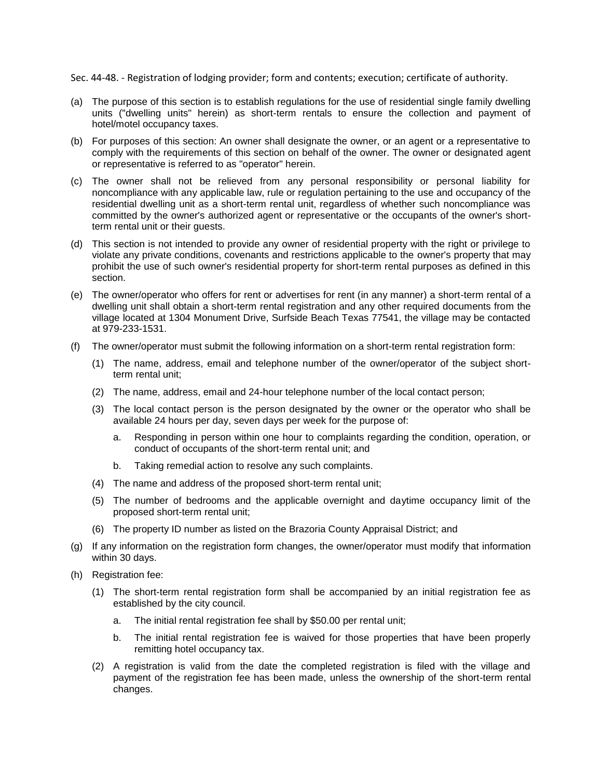Sec. 44-48. - Registration of lodging provider; form and contents; execution; certificate of authority.

- (a) The purpose of this section is to establish regulations for the use of residential single family dwelling units ("dwelling units" herein) as short-term rentals to ensure the collection and payment of hotel/motel occupancy taxes.
- (b) For purposes of this section: An owner shall designate the owner, or an agent or a representative to comply with the requirements of this section on behalf of the owner. The owner or designated agent or representative is referred to as "operator" herein.
- (c) The owner shall not be relieved from any personal responsibility or personal liability for noncompliance with any applicable law, rule or regulation pertaining to the use and occupancy of the residential dwelling unit as a short-term rental unit, regardless of whether such noncompliance was committed by the owner's authorized agent or representative or the occupants of the owner's shortterm rental unit or their guests.
- (d) This section is not intended to provide any owner of residential property with the right or privilege to violate any private conditions, covenants and restrictions applicable to the owner's property that may prohibit the use of such owner's residential property for short-term rental purposes as defined in this section.
- (e) The owner/operator who offers for rent or advertises for rent (in any manner) a short-term rental of a dwelling unit shall obtain a short-term rental registration and any other required documents from the village located at 1304 Monument Drive, Surfside Beach Texas 77541, the village may be contacted at 979-233-1531.
- (f) The owner/operator must submit the following information on a short-term rental registration form:
	- (1) The name, address, email and telephone number of the owner/operator of the subject shortterm rental unit;
	- (2) The name, address, email and 24-hour telephone number of the local contact person;
	- (3) The local contact person is the person designated by the owner or the operator who shall be available 24 hours per day, seven days per week for the purpose of:
		- a. Responding in person within one hour to complaints regarding the condition, operation, or conduct of occupants of the short-term rental unit; and
		- b. Taking remedial action to resolve any such complaints.
	- (4) The name and address of the proposed short-term rental unit;
	- (5) The number of bedrooms and the applicable overnight and daytime occupancy limit of the proposed short-term rental unit;
	- (6) The property ID number as listed on the Brazoria County Appraisal District; and
- (g) If any information on the registration form changes, the owner/operator must modify that information within 30 days.
- (h) Registration fee:
	- (1) The short-term rental registration form shall be accompanied by an initial registration fee as established by the city council.
		- a. The initial rental registration fee shall by \$50.00 per rental unit;
		- b. The initial rental registration fee is waived for those properties that have been properly remitting hotel occupancy tax.
	- (2) A registration is valid from the date the completed registration is filed with the village and payment of the registration fee has been made, unless the ownership of the short-term rental changes.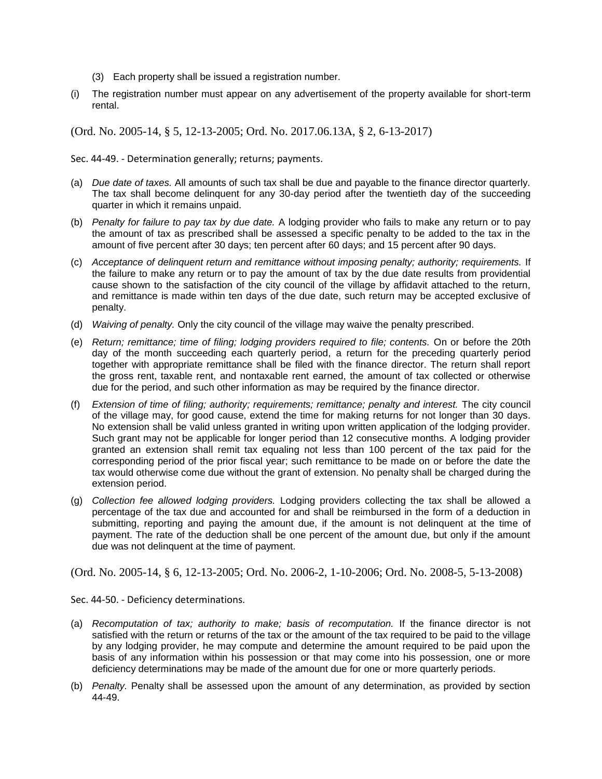- (3) Each property shall be issued a registration number.
- (i) The registration number must appear on any advertisement of the property available for short-term rental.

(Ord. No. 2005-14, § 5, 12-13-2005; Ord. No. 2017.06.13A, § 2, 6-13-2017)

Sec. 44-49. - Determination generally; returns; payments.

- (a) *Due date of taxes.* All amounts of such tax shall be due and payable to the finance director quarterly. The tax shall become delinquent for any 30-day period after the twentieth day of the succeeding quarter in which it remains unpaid.
- (b) *Penalty for failure to pay tax by due date.* A lodging provider who fails to make any return or to pay the amount of tax as prescribed shall be assessed a specific penalty to be added to the tax in the amount of five percent after 30 days; ten percent after 60 days; and 15 percent after 90 days.
- (c) *Acceptance of delinquent return and remittance without imposing penalty; authority; requirements.* If the failure to make any return or to pay the amount of tax by the due date results from providential cause shown to the satisfaction of the city council of the village by affidavit attached to the return, and remittance is made within ten days of the due date, such return may be accepted exclusive of penalty.
- (d) *Waiving of penalty.* Only the city council of the village may waive the penalty prescribed.
- (e) *Return; remittance; time of filing; lodging providers required to file; contents.* On or before the 20th day of the month succeeding each quarterly period, a return for the preceding quarterly period together with appropriate remittance shall be filed with the finance director. The return shall report the gross rent, taxable rent, and nontaxable rent earned, the amount of tax collected or otherwise due for the period, and such other information as may be required by the finance director.
- (f) *Extension of time of filing; authority; requirements; remittance; penalty and interest.* The city council of the village may, for good cause, extend the time for making returns for not longer than 30 days. No extension shall be valid unless granted in writing upon written application of the lodging provider. Such grant may not be applicable for longer period than 12 consecutive months. A lodging provider granted an extension shall remit tax equaling not less than 100 percent of the tax paid for the corresponding period of the prior fiscal year; such remittance to be made on or before the date the tax would otherwise come due without the grant of extension. No penalty shall be charged during the extension period.
- (g) *Collection fee allowed lodging providers.* Lodging providers collecting the tax shall be allowed a percentage of the tax due and accounted for and shall be reimbursed in the form of a deduction in submitting, reporting and paying the amount due, if the amount is not delinquent at the time of payment. The rate of the deduction shall be one percent of the amount due, but only if the amount due was not delinquent at the time of payment.

(Ord. No. 2005-14, § 6, 12-13-2005; Ord. No. 2006-2, 1-10-2006; Ord. No. 2008-5, 5-13-2008)

Sec. 44-50. - Deficiency determinations.

- (a) *Recomputation of tax; authority to make; basis of recomputation.* If the finance director is not satisfied with the return or returns of the tax or the amount of the tax required to be paid to the village by any lodging provider, he may compute and determine the amount required to be paid upon the basis of any information within his possession or that may come into his possession, one or more deficiency determinations may be made of the amount due for one or more quarterly periods.
- (b) *Penalty.* Penalty shall be assessed upon the amount of any determination, as provided by section 44-49.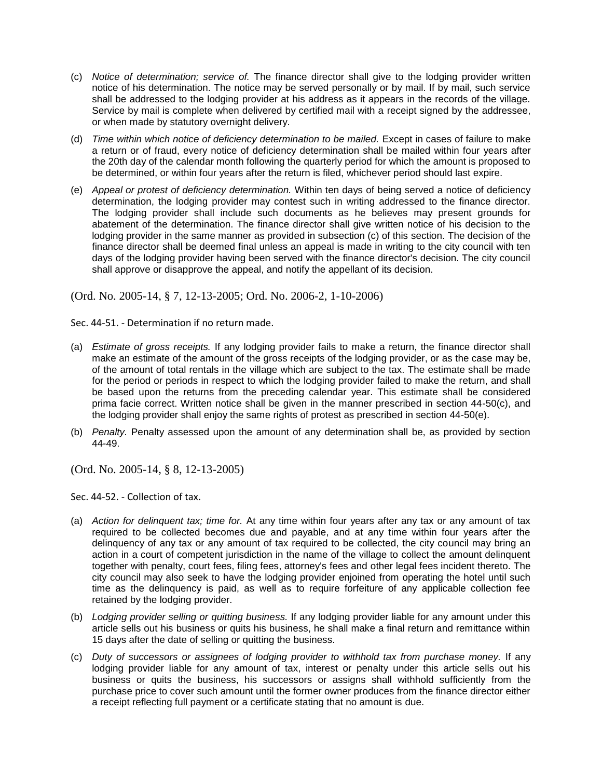- (c) *Notice of determination; service of.* The finance director shall give to the lodging provider written notice of his determination. The notice may be served personally or by mail. If by mail, such service shall be addressed to the lodging provider at his address as it appears in the records of the village. Service by mail is complete when delivered by certified mail with a receipt signed by the addressee, or when made by statutory overnight delivery.
- (d) *Time within which notice of deficiency determination to be mailed.* Except in cases of failure to make a return or of fraud, every notice of deficiency determination shall be mailed within four years after the 20th day of the calendar month following the quarterly period for which the amount is proposed to be determined, or within four years after the return is filed, whichever period should last expire.
- (e) *Appeal or protest of deficiency determination.* Within ten days of being served a notice of deficiency determination, the lodging provider may contest such in writing addressed to the finance director. The lodging provider shall include such documents as he believes may present grounds for abatement of the determination. The finance director shall give written notice of his decision to the lodging provider in the same manner as provided in subsection (c) of this section. The decision of the finance director shall be deemed final unless an appeal is made in writing to the city council with ten days of the lodging provider having been served with the finance director's decision. The city council shall approve or disapprove the appeal, and notify the appellant of its decision.

(Ord. No. 2005-14, § 7, 12-13-2005; Ord. No. 2006-2, 1-10-2006)

Sec. 44-51. - Determination if no return made.

- (a) *Estimate of gross receipts.* If any lodging provider fails to make a return, the finance director shall make an estimate of the amount of the gross receipts of the lodging provider, or as the case may be, of the amount of total rentals in the village which are subject to the tax. The estimate shall be made for the period or periods in respect to which the lodging provider failed to make the return, and shall be based upon the returns from the preceding calendar year. This estimate shall be considered prima facie correct. Written notice shall be given in the manner prescribed in section 44-50(c), and the lodging provider shall enjoy the same rights of protest as prescribed in section 44-50(e).
- (b) *Penalty.* Penalty assessed upon the amount of any determination shall be, as provided by section 44-49.

(Ord. No. 2005-14, § 8, 12-13-2005)

Sec. 44-52. - Collection of tax.

- (a) *Action for delinquent tax; time for.* At any time within four years after any tax or any amount of tax required to be collected becomes due and payable, and at any time within four years after the delinquency of any tax or any amount of tax required to be collected, the city council may bring an action in a court of competent jurisdiction in the name of the village to collect the amount delinquent together with penalty, court fees, filing fees, attorney's fees and other legal fees incident thereto. The city council may also seek to have the lodging provider enjoined from operating the hotel until such time as the delinquency is paid, as well as to require forfeiture of any applicable collection fee retained by the lodging provider.
- (b) *Lodging provider selling or quitting business.* If any lodging provider liable for any amount under this article sells out his business or quits his business, he shall make a final return and remittance within 15 days after the date of selling or quitting the business.
- (c) *Duty of successors or assignees of lodging provider to withhold tax from purchase money.* If any lodging provider liable for any amount of tax, interest or penalty under this article sells out his business or quits the business, his successors or assigns shall withhold sufficiently from the purchase price to cover such amount until the former owner produces from the finance director either a receipt reflecting full payment or a certificate stating that no amount is due.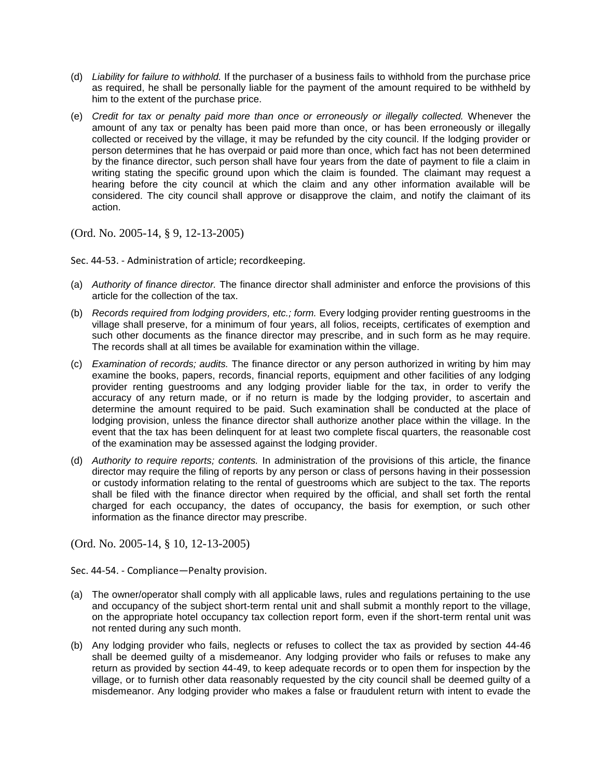- (d) *Liability for failure to withhold.* If the purchaser of a business fails to withhold from the purchase price as required, he shall be personally liable for the payment of the amount required to be withheld by him to the extent of the purchase price.
- (e) *Credit for tax or penalty paid more than once or erroneously or illegally collected.* Whenever the amount of any tax or penalty has been paid more than once, or has been erroneously or illegally collected or received by the village, it may be refunded by the city council. If the lodging provider or person determines that he has overpaid or paid more than once, which fact has not been determined by the finance director, such person shall have four years from the date of payment to file a claim in writing stating the specific ground upon which the claim is founded. The claimant may request a hearing before the city council at which the claim and any other information available will be considered. The city council shall approve or disapprove the claim, and notify the claimant of its action.

(Ord. No. 2005-14, § 9, 12-13-2005)

Sec. 44-53. - Administration of article; recordkeeping.

- (a) *Authority of finance director.* The finance director shall administer and enforce the provisions of this article for the collection of the tax.
- (b) *Records required from lodging providers, etc.; form.* Every lodging provider renting guestrooms in the village shall preserve, for a minimum of four years, all folios, receipts, certificates of exemption and such other documents as the finance director may prescribe, and in such form as he may require. The records shall at all times be available for examination within the village.
- (c) *Examination of records; audits.* The finance director or any person authorized in writing by him may examine the books, papers, records, financial reports, equipment and other facilities of any lodging provider renting guestrooms and any lodging provider liable for the tax, in order to verify the accuracy of any return made, or if no return is made by the lodging provider, to ascertain and determine the amount required to be paid. Such examination shall be conducted at the place of lodging provision, unless the finance director shall authorize another place within the village. In the event that the tax has been delinquent for at least two complete fiscal quarters, the reasonable cost of the examination may be assessed against the lodging provider.
- (d) *Authority to require reports; contents.* In administration of the provisions of this article, the finance director may require the filing of reports by any person or class of persons having in their possession or custody information relating to the rental of guestrooms which are subject to the tax. The reports shall be filed with the finance director when required by the official, and shall set forth the rental charged for each occupancy, the dates of occupancy, the basis for exemption, or such other information as the finance director may prescribe.

(Ord. No. 2005-14, § 10, 12-13-2005)

Sec. 44-54. - Compliance—Penalty provision.

- (a) The owner/operator shall comply with all applicable laws, rules and regulations pertaining to the use and occupancy of the subject short-term rental unit and shall submit a monthly report to the village, on the appropriate hotel occupancy tax collection report form, even if the short-term rental unit was not rented during any such month.
- (b) Any lodging provider who fails, neglects or refuses to collect the tax as provided by section 44-46 shall be deemed guilty of a misdemeanor. Any lodging provider who fails or refuses to make any return as provided by section 44-49, to keep adequate records or to open them for inspection by the village, or to furnish other data reasonably requested by the city council shall be deemed guilty of a misdemeanor. Any lodging provider who makes a false or fraudulent return with intent to evade the